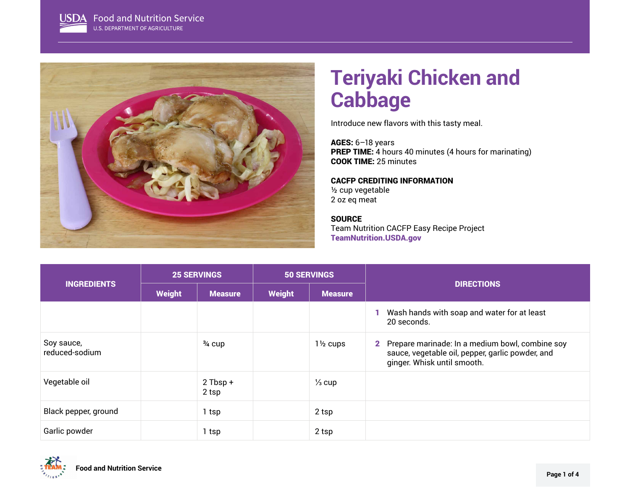

# **Teriyaki Chicken and Cabbage**

Introduce new flavors with this tasty meal.

AGES: 6–18 years PREP TIME: 4 hours 40 minutes (4 hours for marinating) COOK TIME: 25 minutes

# CACFP CREDITING INFORMATION

½ cup vegetable 2 oz eq meat

#### **SOURCE**

Team Nutrition CACFP Easy Recipe Project [TeamNutrition.USDA.gov](https://www.TeamNutrition.USDA.gov)

|                              | <b>25 SERVINGS</b> |                     | <b>50 SERVINGS</b> |                     | <b>DIRECTIONS</b>                                                                                                                    |
|------------------------------|--------------------|---------------------|--------------------|---------------------|--------------------------------------------------------------------------------------------------------------------------------------|
| <b>INGREDIENTS</b>           | <b>Weight</b>      | <b>Measure</b>      | <b>Weight</b>      | <b>Measure</b>      |                                                                                                                                      |
|                              |                    |                     |                    |                     | Wash hands with soap and water for at least<br>20 seconds.                                                                           |
| Soy sauce,<br>reduced-sodium |                    | $\frac{3}{4}$ cup   |                    | $1\frac{1}{2}$ cups | 2 Prepare marinade: In a medium bowl, combine soy<br>sauce, vegetable oil, pepper, garlic powder, and<br>ginger. Whisk until smooth. |
| Vegetable oil                |                    | $2$ Tbsp +<br>2 tsp |                    | $\frac{1}{3}$ cup   |                                                                                                                                      |
| Black pepper, ground         |                    | 1 tsp               |                    | 2 tsp               |                                                                                                                                      |
| Garlic powder                |                    | 1 tsp               |                    | 2 tsp               |                                                                                                                                      |

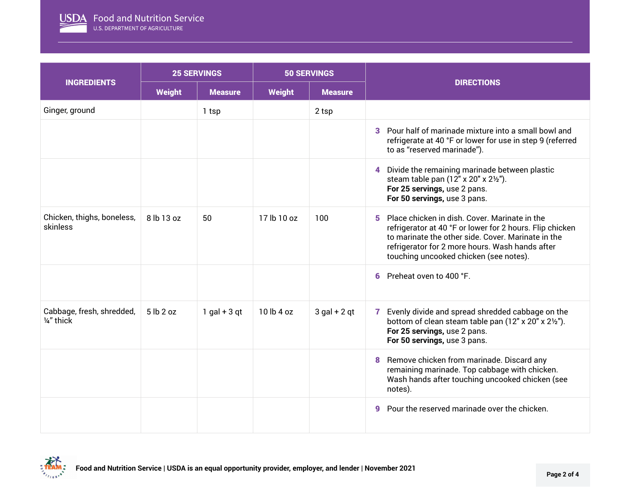

|                                         | <b>25 SERVINGS</b> |                | <b>50 SERVINGS</b> |                |                                                                                                                                                                                                                                                                   |
|-----------------------------------------|--------------------|----------------|--------------------|----------------|-------------------------------------------------------------------------------------------------------------------------------------------------------------------------------------------------------------------------------------------------------------------|
| <b>INGREDIENTS</b>                      | <b>Weight</b>      | <b>Measure</b> | <b>Weight</b>      | <b>Measure</b> | <b>DIRECTIONS</b>                                                                                                                                                                                                                                                 |
| Ginger, ground                          |                    | 1 tsp          |                    | 2 tsp          |                                                                                                                                                                                                                                                                   |
|                                         |                    |                |                    |                | Pour half of marinade mixture into a small bowl and<br>3<br>refrigerate at 40 °F or lower for use in step 9 (referred<br>to as "reserved marinade").                                                                                                              |
|                                         |                    |                |                    |                | Divide the remaining marinade between plastic<br>4<br>steam table pan (12" x 20" x 21/2").<br>For 25 servings, use 2 pans.<br>For 50 servings, use 3 pans.                                                                                                        |
| Chicken, thighs, boneless,<br>skinless  | 8 lb 13 oz         | 50             | 17 lb 10 oz        | 100            | Place chicken in dish. Cover, Marinate in the<br>5<br>refrigerator at 40 °F or lower for 2 hours. Flip chicken<br>to marinate the other side. Cover, Marinate in the<br>refrigerator for 2 more hours. Wash hands after<br>touching uncooked chicken (see notes). |
|                                         |                    |                |                    |                | Preheat oven to 400 °F.<br>6                                                                                                                                                                                                                                      |
| Cabbage, fresh, shredded,<br>1/4" thick | 5 lb 2 oz          | $1$ gal + 3 qt | 10 lb 4 oz         | $3$ gal + 2 qt | Evenly divide and spread shredded cabbage on the<br>7<br>bottom of clean steam table pan (12" x 20" x 21/2").<br>For 25 servings, use 2 pans.<br>For 50 servings, use 3 pans.                                                                                     |
|                                         |                    |                |                    |                | Remove chicken from marinade. Discard any<br>8<br>remaining marinade. Top cabbage with chicken.<br>Wash hands after touching uncooked chicken (see<br>notes).                                                                                                     |
|                                         |                    |                |                    |                | Pour the reserved marinade over the chicken.<br>g                                                                                                                                                                                                                 |

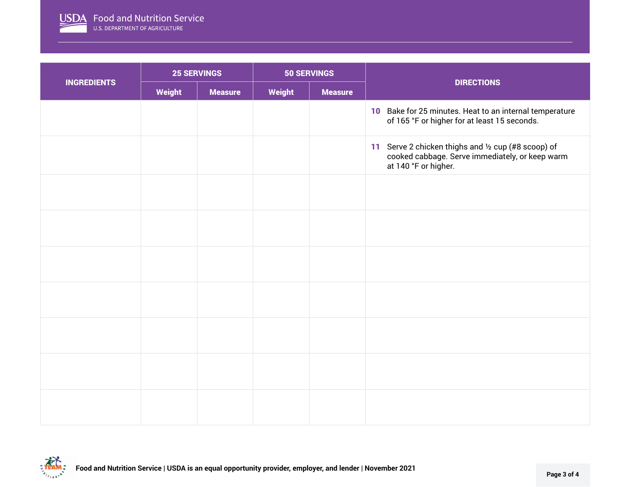

|                    | <b>25 SERVINGS</b> |                | <b>50 SERVINGS</b> |                |                                                                                                                                |
|--------------------|--------------------|----------------|--------------------|----------------|--------------------------------------------------------------------------------------------------------------------------------|
| <b>INGREDIENTS</b> | Weight             | <b>Measure</b> | Weight             | <b>Measure</b> | <b>DIRECTIONS</b>                                                                                                              |
|                    |                    |                |                    |                | 10 Bake for 25 minutes. Heat to an internal temperature<br>of 165 °F or higher for at least 15 seconds.                        |
|                    |                    |                |                    |                | 11 Serve 2 chicken thighs and 1/2 cup (#8 scoop) of<br>cooked cabbage. Serve immediately, or keep warm<br>at 140 °F or higher. |
|                    |                    |                |                    |                |                                                                                                                                |
|                    |                    |                |                    |                |                                                                                                                                |
|                    |                    |                |                    |                |                                                                                                                                |
|                    |                    |                |                    |                |                                                                                                                                |
|                    |                    |                |                    |                |                                                                                                                                |
|                    |                    |                |                    |                |                                                                                                                                |
|                    |                    |                |                    |                |                                                                                                                                |